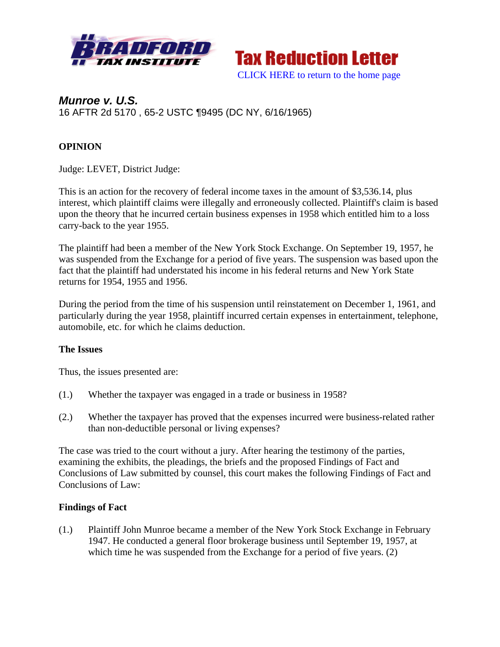



# *Munroe v. U.S.*  16 AFTR 2d 5170 , 65-2 USTC ¶9495 (DC NY, 6/16/1965)

## **OPINION**

Judge: LEVET, District Judge:

This is an action for the recovery of federal income taxes in the amount of \$3,536.14, plus interest, which plaintiff claims were illegally and erroneously collected. Plaintiff's claim is based upon the theory that he incurred certain business expenses in 1958 which entitled him to a loss carry-back to the year 1955.

The plaintiff had been a member of the New York Stock Exchange. On September 19, 1957, he was suspended from the Exchange for a period of five years. The suspension was based upon the fact that the plaintiff had understated his income in his federal returns and New York State returns for 1954, 1955 and 1956.

During the period from the time of his suspension until reinstatement on December 1, 1961, and particularly during the year 1958, plaintiff incurred certain expenses in entertainment, telephone, automobile, etc. for which he claims deduction.

#### **The Issues**

Thus, the issues presented are:

- (1.) Whether the taxpayer was engaged in a trade or business in 1958?
- (2.) Whether the taxpayer has proved that the expenses incurred were business-related rather than non-deductible personal or living expenses?

The case was tried to the court without a jury. After hearing the testimony of the parties, examining the exhibits, the pleadings, the briefs and the proposed Findings of Fact and Conclusions of Law submitted by counsel, this court makes the following Findings of Fact and Conclusions of Law:

#### **Findings of Fact**

(1.) Plaintiff John Munroe became a member of the New York Stock Exchange in February 1947. He conducted a general floor brokerage business until September 19, 1957, at which time he was suspended from the Exchange for a period of five years. (2)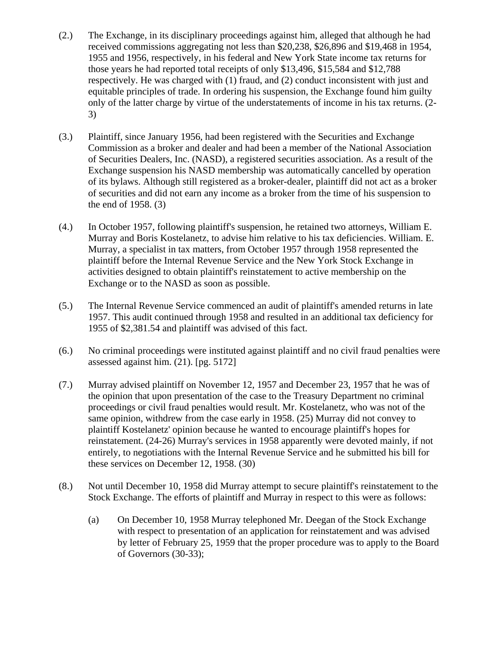- (2.) The Exchange, in its disciplinary proceedings against him, alleged that although he had received commissions aggregating not less than \$20,238, \$26,896 and \$19,468 in 1954, 1955 and 1956, respectively, in his federal and New York State income tax returns for those years he had reported total receipts of only \$13,496, \$15,584 and \$12,788 respectively. He was charged with (1) fraud, and (2) conduct inconsistent with just and equitable principles of trade. In ordering his suspension, the Exchange found him guilty only of the latter charge by virtue of the understatements of income in his tax returns. (2- 3)
- (3.) Plaintiff, since January 1956, had been registered with the Securities and Exchange Commission as a broker and dealer and had been a member of the National Association of Securities Dealers, Inc. (NASD), a registered securities association. As a result of the Exchange suspension his NASD membership was automatically cancelled by operation of its bylaws. Although still registered as a broker-dealer, plaintiff did not act as a broker of securities and did not earn any income as a broker from the time of his suspension to the end of 1958. (3)
- (4.) In October 1957, following plaintiff's suspension, he retained two attorneys, William E. Murray and Boris Kostelanetz, to advise him relative to his tax deficiencies. William. E. Murray, a specialist in tax matters, from October 1957 through 1958 represented the plaintiff before the Internal Revenue Service and the New York Stock Exchange in activities designed to obtain plaintiff's reinstatement to active membership on the Exchange or to the NASD as soon as possible.
- (5.) The Internal Revenue Service commenced an audit of plaintiff's amended returns in late 1957. This audit continued through 1958 and resulted in an additional tax deficiency for 1955 of \$2,381.54 and plaintiff was advised of this fact.
- (6.) No criminal proceedings were instituted against plaintiff and no civil fraud penalties were assessed against him. (21). [pg. 5172]
- (7.) Murray advised plaintiff on November 12, 1957 and December 23, 1957 that he was of the opinion that upon presentation of the case to the Treasury Department no criminal proceedings or civil fraud penalties would result. Mr. Kostelanetz, who was not of the same opinion, withdrew from the case early in 1958. (25) Murray did not convey to plaintiff Kostelanetz' opinion because he wanted to encourage plaintiff's hopes for reinstatement. (24-26) Murray's services in 1958 apparently were devoted mainly, if not entirely, to negotiations with the Internal Revenue Service and he submitted his bill for these services on December 12, 1958. (30)
- (8.) Not until December 10, 1958 did Murray attempt to secure plaintiff's reinstatement to the Stock Exchange. The efforts of plaintiff and Murray in respect to this were as follows:
	- (a) On December 10, 1958 Murray telephoned Mr. Deegan of the Stock Exchange with respect to presentation of an application for reinstatement and was advised by letter of February 25, 1959 that the proper procedure was to apply to the Board of Governors (30-33);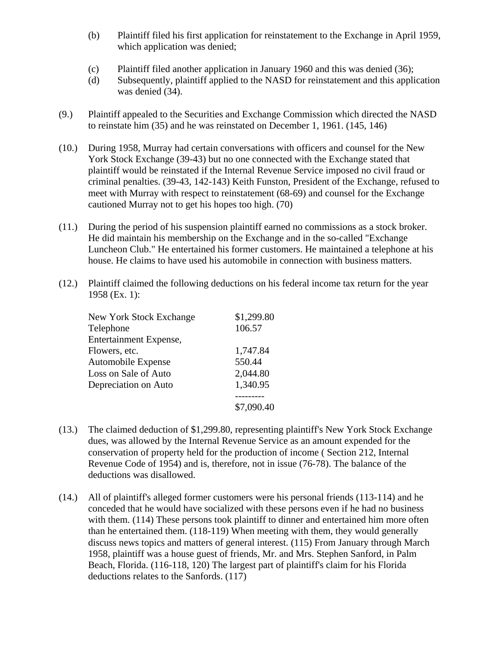- (b) Plaintiff filed his first application for reinstatement to the Exchange in April 1959, which application was denied;
- (c) Plaintiff filed another application in January 1960 and this was denied (36);
- (d) Subsequently, plaintiff applied to the NASD for reinstatement and this application was denied (34).
- (9.) Plaintiff appealed to the Securities and Exchange Commission which directed the NASD to reinstate him (35) and he was reinstated on December 1, 1961. (145, 146)
- (10.) During 1958, Murray had certain conversations with officers and counsel for the New York Stock Exchange (39-43) but no one connected with the Exchange stated that plaintiff would be reinstated if the Internal Revenue Service imposed no civil fraud or criminal penalties. (39-43, 142-143) Keith Funston, President of the Exchange, refused to meet with Murray with respect to reinstatement (68-69) and counsel for the Exchange cautioned Murray not to get his hopes too high. (70)
- (11.) During the period of his suspension plaintiff earned no commissions as a stock broker. He did maintain his membership on the Exchange and in the so-called "Exchange Luncheon Club." He entertained his former customers. He maintained a telephone at his house. He claims to have used his automobile in connection with business matters.
- (12.) Plaintiff claimed the following deductions on his federal income tax return for the year 1958 (Ex. 1):

| New York Stock Exchange | \$1,299.80 |
|-------------------------|------------|
| Telephone               | 106.57     |
| Entertainment Expense,  |            |
| Flowers, etc.           | 1,747.84   |
| Automobile Expense      | 550.44     |
| Loss on Sale of Auto    | 2,044.80   |
| Depreciation on Auto    | 1,340.95   |
|                         |            |
|                         | \$7,090.40 |
|                         |            |

- (13.) The claimed deduction of \$1,299.80, representing plaintiff's New York Stock Exchange dues, was allowed by the Internal Revenue Service as an amount expended for the conservation of property held for the production of income ( Section 212, Internal Revenue Code of 1954) and is, therefore, not in issue (76-78). The balance of the deductions was disallowed.
- (14.) All of plaintiff's alleged former customers were his personal friends (113-114) and he conceded that he would have socialized with these persons even if he had no business with them. (114) These persons took plaintiff to dinner and entertained him more often than he entertained them. (118-119) When meeting with them, they would generally discuss news topics and matters of general interest. (115) From January through March 1958, plaintiff was a house guest of friends, Mr. and Mrs. Stephen Sanford, in Palm Beach, Florida. (116-118, 120) The largest part of plaintiff's claim for his Florida deductions relates to the Sanfords. (117)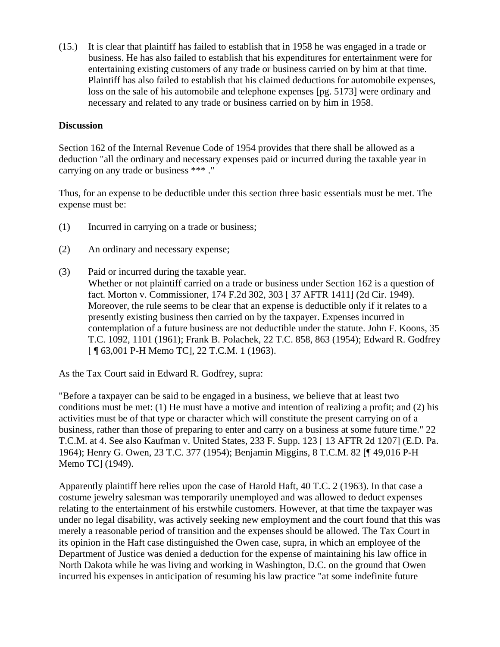(15.) It is clear that plaintiff has failed to establish that in 1958 he was engaged in a trade or business. He has also failed to establish that his expenditures for entertainment were for entertaining existing customers of any trade or business carried on by him at that time. Plaintiff has also failed to establish that his claimed deductions for automobile expenses, loss on the sale of his automobile and telephone expenses [pg. 5173] were ordinary and necessary and related to any trade or business carried on by him in 1958.

#### **Discussion**

Section 162 of the Internal Revenue Code of 1954 provides that there shall be allowed as a deduction "all the ordinary and necessary expenses paid or incurred during the taxable year in carrying on any trade or business \*\*\* ."

Thus, for an expense to be deductible under this section three basic essentials must be met. The expense must be:

- (1) Incurred in carrying on a trade or business;
- (2) An ordinary and necessary expense;
- (3) Paid or incurred during the taxable year.
	- Whether or not plaintiff carried on a trade or business under Section 162 is a question of fact. Morton v. Commissioner, 174 F.2d 302, 303 [ 37 AFTR 1411] (2d Cir. 1949). Moreover, the rule seems to be clear that an expense is deductible only if it relates to a presently existing business then carried on by the taxpayer. Expenses incurred in contemplation of a future business are not deductible under the statute. John F. Koons, 35 T.C. 1092, 1101 (1961); Frank B. Polachek, 22 T.C. 858, 863 (1954); Edward R. Godfrey [ ¶ 63,001 P-H Memo TC], 22 T.C.M. 1 (1963).

As the Tax Court said in Edward R. Godfrey, supra:

"Before a taxpayer can be said to be engaged in a business, we believe that at least two conditions must be met: (1) He must have a motive and intention of realizing a profit; and (2) his activities must be of that type or character which will constitute the present carrying on of a business, rather than those of preparing to enter and carry on a business at some future time." 22 T.C.M. at 4. See also Kaufman v. United States, 233 F. Supp. 123 [ 13 AFTR 2d 1207] (E.D. Pa. 1964); Henry G. Owen, 23 T.C. 377 (1954); Benjamin Miggins, 8 T.C.M. 82 [¶ 49,016 P-H Memo TC] (1949).

Apparently plaintiff here relies upon the case of Harold Haft, 40 T.C. 2 (1963). In that case a costume jewelry salesman was temporarily unemployed and was allowed to deduct expenses relating to the entertainment of his erstwhile customers. However, at that time the taxpayer was under no legal disability, was actively seeking new employment and the court found that this was merely a reasonable period of transition and the expenses should be allowed. The Tax Court in its opinion in the Haft case distinguished the Owen case, supra, in which an employee of the Department of Justice was denied a deduction for the expense of maintaining his law office in North Dakota while he was living and working in Washington, D.C. on the ground that Owen incurred his expenses in anticipation of resuming his law practice "at some indefinite future